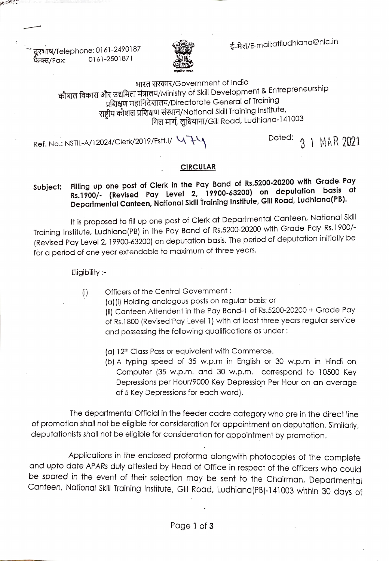ई-मेल/E-mail:atiludhiana@nic.in

दूरभाष/Telephone: 0161-2490187 .<br>फेक्स/Fax: 0161-2501871

ne cours



# भारत सरकार/Government of India कौशल विकास और उद्यमिता मंत्रालय/Ministry of Skill Development & Entrepreneurship प्रशिक्षण महानिदेशालय/Directorate General of Training राष्ट्रीय कौशल प्रशिक्षण संस्थान/National Skill Training Institute, गिल मार्ग, लुधियाना/Gill Road, Ludhiana-141003

Ref. No.: NSTIL-A/12024/Clerk/2019/Estt.l/  $\sqrt{7}$ 

# CIRCULAR

## Filling up one post of Clerk in the Pay Band of Rs.5200-20200 with Grade Pay Rs.1900/ (Revised Pay Level 2, 19900-63200) on deputation basis at Departmental Canteen, National Skill Training Institute, Gll Road, Ludhiana(PB). Subject:

It is proposed to fill up one post of Clerk at Departmental Canteen, National Skill Training institute, Ludhiana(PB) in the Pay Band of Rs.5200-20200 with Grade Pay Rs.1900/- (Revised Pay Level 2, 19900-63200) on deputation basis. The period of deputation initially be for a period of one year extendable to maximum of three years.

Eligibility :-

- Officers of the Central Government:  $(i)$ 
	- (a)(i) Holding analogous posts on regular basis; or (i) Canteen Attendent in the Pay Band-1 of Rs.5200-20200 + Grade Pay of Rs.1800 (Revised Pay Level 1) with at least three years regular service and possessing the following qualifications as under:
	- (a) 12<sup>th</sup> Class Pass or equivalent with Commerce.
	- (b) A typing speed of 35 w.p.m in English or 30 w.p.m in Hindi on Computer (35 w.p.m. and 30 w.p.m. corespond to 10500 Key Depressions per Hour/9000 Key Depression Per Hour on an average of 5 Key Depressions for each word).

The deparimental Official in the feeder cadre category who are in the direct line of promotion shall not be eligible for consideration for appointment on deputation. Similanly, deputationists shall not be eligible for consideration for appointment by promotion.

Applications in the enclosed proforma alongwith photocopies of the complete and upto date APARs duly attested by Head of Office in respect of the officers who could<br>be spared in the event of their selection may be sent to the Chairman, Departmental Canteen, National Skill Training Institute, Gill Road, Ludhiana(PB)-141003 within 30 days of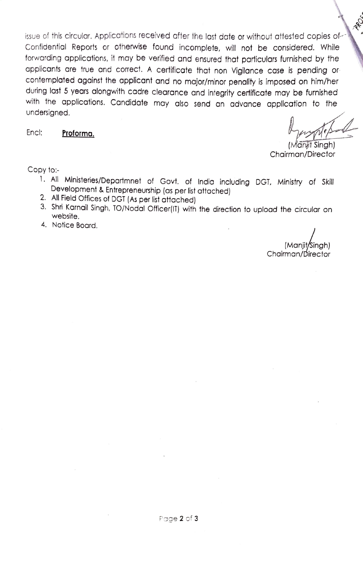issue of this circular. Applications received after the last date or without attested copies of Confidential Reports or otherwise found incomplete, will not be considered. While forwarding applications, it may be verified and ensured that particulars furnished by the applicants are true and corect. A certificate that non Vigilance case is pending or contemplated against the applicant and no major/minor penality is imposed on him/her during last 5 years alongwith cadre clearance and integrity certificate may be furnished with the applications. Candidate may also send an advance application fo the undersigned.

Enc: Proforma.

**Ro** 

(Maryit Singh)<br>Chairman/Director

Copy to:

- 1. All Ministeries/Departmnet of Govt. of India including DGT. Ministry of Skill Development & Entrepreneurship (as per list attached)
- 
- 3. Shri Karnail Singh, TO/Nodal Officer(IT) with the direction to upload the circular on website.
- 4. Notice Board.

(Manit/Singh) Chairman/Director